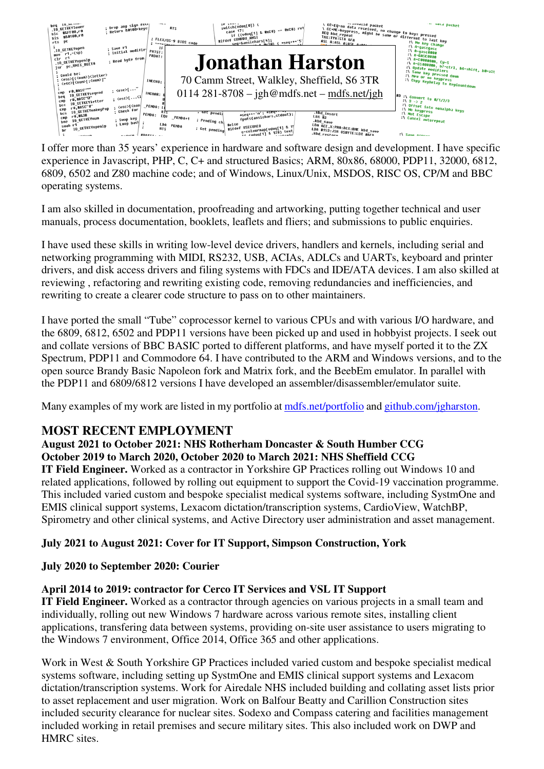

I offer more than 35 years' experience in hardware and software design and development. I have specific experience in Javascript, PHP, C, C+ and structured Basics; ARM, 80x86, 68000, PDP11, 32000, 6812, 6809, 6502 and Z80 machine code; and of Windows, Linux/Unix, MSDOS, RISC OS, CP/M and BBC operating systems.

I am also skilled in documentation, proofreading and artworking, putting together technical and user manuals, process documentation, booklets, leaflets and fliers; and submissions to public enquiries.

I have used these skills in writing low-level device drivers, handlers and kernels, including serial and networking programming with MIDI, RS232, USB, ACIAs, ADLCs and UARTs, keyboard and printer drivers, and disk access drivers and filing systems with FDCs and IDE/ATA devices. I am also skilled at reviewing , refactoring and rewriting existing code, removing redundancies and inefficiencies, and rewriting to create a clearer code structure to pass on to other maintainers.

I have ported the small "Tube" coprocessor kernel to various CPUs and with various I/O hardware, and the 6809, 6812, 6502 and PDP11 versions have been picked up and used in hobbyist projects. I seek out and collate versions of BBC BASIC ported to different platforms, and have myself ported it to the ZX Spectrum, PDP11 and Commodore 64. I have contributed to the ARM and Windows versions, and to the open source Brandy Basic Napoleon fork and Matrix fork, and the BeebEm emulator. In parallel with the PDP11 and 6809/6812 versions I have developed an assembler/disassembler/emulator suite.

Many examples of my work are listed in my portfolio at mother morals and github.com/jgharston.

## **MOST RECENT EMPLOYMENT**

## **August 2021 to October 2021: NHS Rotherham Doncaster & South Humber CCG October 2019 to March 2020, October 2020 to March 2021: NHS Sheffield CCG**

**IT Field Engineer.** Worked as a contractor in Yorkshire GP Practices rolling out Windows 10 and related applications, followed by rolling out equipment to support the Covid-19 vaccination programme. This included varied custom and bespoke specialist medical systems software, including SystmOne and EMIS clinical support systems, Lexacom dictation/transcription systems, CardioView, WatchBP, Spirometry and other clinical systems, and Active Directory user administration and asset management.

## **July 2021 to August 2021: Cover for IT Support, Simpson Construction, York**

## **July 2020 to September 2020: Courier**

## **April 2014 to 2019: contractor for Cerco IT Services and VSL IT Support**

**IT Field Engineer.** Worked as a contractor through agencies on various projects in a small team and individually, rolling out new Windows 7 hardware across various remote sites, installing client applications, transfering data between systems, providing on-site user assistance to users migrating to the Windows 7 environment, Office 2014, Office 365 and other applications.

Work in West & South Yorkshire GP Practices included varied custom and bespoke specialist medical systems software, including setting up SystmOne and EMIS clinical support systems and Lexacom dictation/transcription systems. Work for Airedale NHS included building and collating asset lists prior to asset replacement and user migration. Work on Balfour Beatty and Carillion Construction sites included security clearance for nuclear sites. Sodexo and Compass catering and facilities management included working in retail premises and secure military sites. This also included work on DWP and HMRC sites.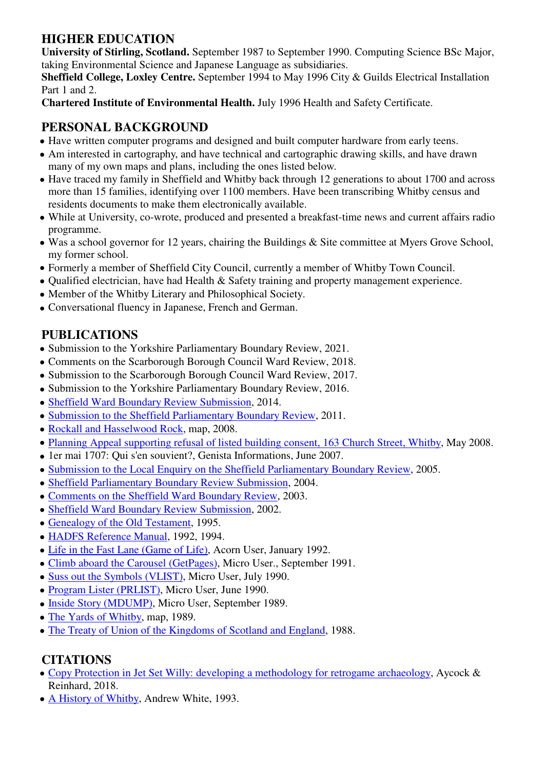## **HIGHER EDUCATION**

**University of Stirling, Scotland.** September 1987 to September 1990. Computing Science BSc Major, taking Environmental Science and Japanese Language as subsidiaries.

**Sheffield College, Loxley Centre.** September 1994 to May 1996 City & Guilds Electrical Installation Part 1 and 2.

**Chartered Institute of Environmental Health.** July 1996 Health and Safety Certificate.

# **PERSONAL BACKGROUND**

- Have written computer programs and designed and built computer hardware from early teens.
- Am interested in cartography, and have technical and cartographic drawing skills, and have drawn many of my own maps and plans, including the ones listed below.
- Have traced my family in Sheffield and Whitby back through 12 generations to about 1700 and across more than 15 families, identifying over 1100 members. Have been transcribing Whitby census and residents documents to make them electronically available.
- While at University, co-wrote, produced and presented a breakfast-time news and current affairs radio programme.
- Was a school governor for 12 years, chairing the Buildings & Site committee at Myers Grove School, my former school.
- Formerly a member of Sheffield City Council, currently a member of Whitby Town Council.
- Qualified electrician, have had Health & Safety training and property management experience.
- Member of the Whitby Literary and Philosophical Society.
- Conversational fluency in Japanese, French and German.

# **PUBLICATIONS**

- Submission to the Yorkshire Parliamentary Boundary Review, 2021.
- Comments on the Scarborough Borough Council Ward Review, 2018.
- Submission to the Scarborough Borough Council Ward Review, 2017.
- Submission to the Yorkshire Parliamentary Boundary Review, 2016.
- Sheffield Ward Boundary Review Submission, 2014.
- Submission to the Sheffield Parliamentary Boundary Review, 2011.
- Rockall and Hasselwood Rock, map, 2008.
- Planning Appeal supporting refusal of listed building consent, 163 Church Street, Whitby, May 2008.
- 1er mai 1707: Qui s'en souvient?, Genista Informations, June 2007.
- Submission to the Local Enquiry on the Sheffield Parliamentary Boundary Review, 2005.
- Sheffield Parliamentary Boundary Review Submission, 2004.
- Comments on the Sheffield Ward Boundary Review, 2003.
- Sheffield Ward Boundary Review Submission, 2002.
- Genealogy of the Old Testament, 1995.
- HADFS Reference Manual, 1992, 1994.
- Life in the Fast Lane (Game of Life), Acorn User, January 1992.
- Climb aboard the Carousel (GetPages), Micro User., September 1991.
- Suss out the Symbols (VLIST), Micro User, July 1990.
- Program Lister (PRLIST), Micro User, June 1990.
- Inside Story (MDUMP), Micro User, September 1989.
- The Yards of Whitby, map, 1989.
- The Treaty of Union of the Kingdoms of Scotland and England, 1988.

## **CITATIONS**

- Copy Protection in Jet Set Willy: developing a methodology for retrogame archaeology, Aycock & Reinhard, 2018.
- A History of Whitby, Andrew White, 1993.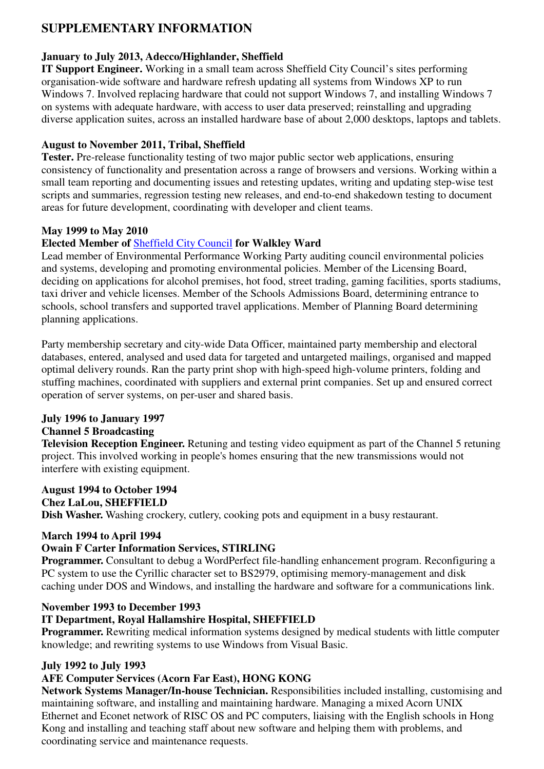## **SUPPLEMENTARY INFORMATION**

### **January to July 2013, Adecco/Highlander, Sheffield**

**IT Support Engineer.** Working in a small team across Sheffield City Council's sites performing organisation-wide software and hardware refresh updating all systems from Windows XP to run Windows 7. Involved replacing hardware that could not support Windows 7, and installing Windows 7 on systems with adequate hardware, with access to user data preserved; reinstalling and upgrading diverse application suites, across an installed hardware base of about 2,000 desktops, laptops and tablets.

### **August to November 2011, Tribal, Sheffield**

**Tester.** Pre-release functionality testing of two major public sector web applications, ensuring consistency of functionality and presentation across a range of browsers and versions. Working within a small team reporting and documenting issues and retesting updates, writing and updating step-wise test scripts and summaries, regression testing new releases, and end-to-end shakedown testing to document areas for future development, coordinating with developer and client teams.

### **May 1999 to May 2010**

## **Elected Member of** Sheffield City Council **for Walkley Ward**

Lead member of Environmental Performance Working Party auditing council environmental policies and systems, developing and promoting environmental policies. Member of the Licensing Board, deciding on applications for alcohol premises, hot food, street trading, gaming facilities, sports stadiums, taxi driver and vehicle licenses. Member of the Schools Admissions Board, determining entrance to schools, school transfers and supported travel applications. Member of Planning Board determining planning applications.

Party membership secretary and city-wide Data Officer, maintained party membership and electoral databases, entered, analysed and used data for targeted and untargeted mailings, organised and mapped optimal delivery rounds. Ran the party print shop with high-speed high-volume printers, folding and stuffing machines, coordinated with suppliers and external print companies. Set up and ensured correct operation of server systems, on per-user and shared basis.

## **July 1996 to January 1997**

## **Channel 5 Broadcasting**

**Television Reception Engineer.** Retuning and testing video equipment as part of the Channel 5 retuning project. This involved working in people's homes ensuring that the new transmissions would not interfere with existing equipment.

#### **August 1994 to October 1994**

#### **Chez LaLou, SHEFFIELD**

**Dish Washer.** Washing crockery, cutlery, cooking pots and equipment in a busy restaurant.

#### **March 1994 to April 1994**

#### **Owain F Carter Information Services, STIRLING**

**Programmer.** Consultant to debug a WordPerfect file-handling enhancement program. Reconfiguring a PC system to use the Cyrillic character set to BS2979, optimising memory-management and disk caching under DOS and Windows, and installing the hardware and software for a communications link.

#### **November 1993 to December 1993**

#### **IT Department, Royal Hallamshire Hospital, SHEFFIELD**

**Programmer.** Rewriting medical information systems designed by medical students with little computer knowledge; and rewriting systems to use Windows from Visual Basic.

#### **July 1992 to July 1993**

#### **AFE Computer Services (Acorn Far East), HONG KONG**

**Network Systems Manager/In-house Technician.** Responsibilities included installing, customising and maintaining software, and installing and maintaining hardware. Managing a mixed Acorn UNIX Ethernet and Econet network of RISC OS and PC computers, liaising with the English schools in Hong Kong and installing and teaching staff about new software and helping them with problems, and coordinating service and maintenance requests.